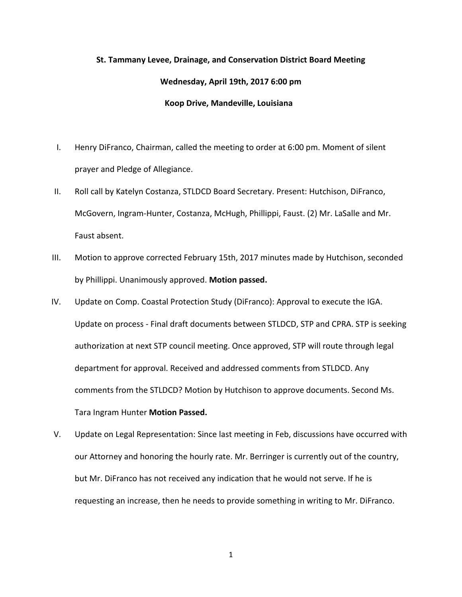## **St. Tammany Levee, Drainage, and Conservation District Board Meeting Wednesday, April 19th, 2017 6:00 pm Koop Drive, Mandeville, Louisiana**

- I. Henry DiFranco, Chairman, called the meeting to order at 6:00 pm. Moment of silent prayer and Pledge of Allegiance.
- II. Roll call by Katelyn Costanza, STLDCD Board Secretary. Present: Hutchison, DiFranco, McGovern, Ingram-Hunter, Costanza, McHugh, Phillippi, Faust. (2) Mr. LaSalle and Mr. Faust absent.
- III. Motion to approve corrected February 15th, 2017 minutes made by Hutchison, seconded by Phillippi. Unanimously approved. **Motion passed.**
- IV. Update on Comp. Coastal Protection Study (DiFranco): Approval to execute the IGA. Update on process - Final draft documents between STLDCD, STP and CPRA. STP is seeking authorization at next STP council meeting. Once approved, STP will route through legal department for approval. Received and addressed comments from STLDCD. Any comments from the STLDCD? Motion by Hutchison to approve documents. Second Ms. Tara Ingram Hunter **Motion Passed.**
- V. Update on Legal Representation: Since last meeting in Feb, discussions have occurred with our Attorney and honoring the hourly rate. Mr. Berringer is currently out of the country, but Mr. DiFranco has not received any indication that he would not serve. If he is requesting an increase, then he needs to provide something in writing to Mr. DiFranco.

1